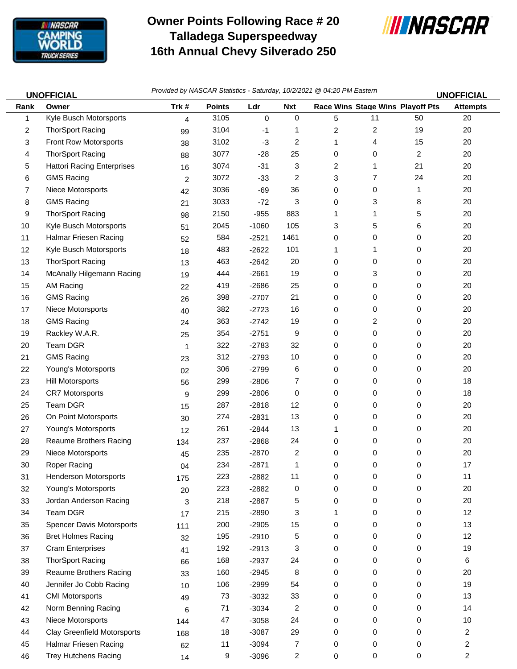

## **Owner Points Following Race # 20 Talladega Superspeedway 16th Annual Chevy Silverado 250**



| <b>UNOFFICIAL</b> |                                    | Provided by NASCAR Statistics - Saturday, 10/2/2021 @ 04:20 PM Eastern<br><b>UNOFFICIAL</b> |               |             |                |                         |                                  |    |                 |  |
|-------------------|------------------------------------|---------------------------------------------------------------------------------------------|---------------|-------------|----------------|-------------------------|----------------------------------|----|-----------------|--|
| Rank              | Owner                              | Trk#                                                                                        | <b>Points</b> | Ldr         | <b>Nxt</b>     |                         | Race Wins Stage Wins Playoff Pts |    | <b>Attempts</b> |  |
| 1                 | Kyle Busch Motorsports             | 4                                                                                           | 3105          | $\mathbf 0$ | 0              | 5                       | 11                               | 50 | 20              |  |
| 2                 | <b>ThorSport Racing</b>            | 99                                                                                          | 3104          | -1          | 1              | 2                       | 2                                | 19 | 20              |  |
| 3                 | Front Row Motorsports              | 38                                                                                          | 3102          | $-3$        | $\overline{c}$ | 1                       | 4                                | 15 | 20              |  |
| 4                 | <b>ThorSport Racing</b>            | 88                                                                                          | 3077          | $-28$       | 25             | 0                       | 0                                | 2  | 20              |  |
| 5                 | <b>Hattori Racing Enterprises</b>  | 16                                                                                          | 3074          | $-31$       | 3              | $\overline{\mathbf{c}}$ | 1                                | 21 | 20              |  |
| 6                 | <b>GMS Racing</b>                  | $\overline{c}$                                                                              | 3072          | $-33$       | 2              | 3                       | 7                                | 24 | 20              |  |
| $\overline{7}$    | Niece Motorsports                  | 42                                                                                          | 3036          | $-69$       | 36             | 0                       | 0                                | 1  | 20              |  |
| 8                 | <b>GMS Racing</b>                  | 21                                                                                          | 3033          | $-72$       | 3              | 0                       | 3                                | 8  | 20              |  |
| 9                 | <b>ThorSport Racing</b>            | 98                                                                                          | 2150          | $-955$      | 883            | 1                       | 1                                | 5  | 20              |  |
| 10                | Kyle Busch Motorsports             | 51                                                                                          | 2045          | $-1060$     | 105            | 3                       | 5                                | 6  | 20              |  |
| 11                | Halmar Friesen Racing              | 52                                                                                          | 584           | $-2521$     | 1461           | 0                       | 0                                | 0  | 20              |  |
| 12                | Kyle Busch Motorsports             | 18                                                                                          | 483           | $-2622$     | 101            | 1                       | 1                                | 0  | 20              |  |
| 13                | <b>ThorSport Racing</b>            | 13                                                                                          | 463           | $-2642$     | 20             | 0                       | 0                                | 0  | 20              |  |
| 14                | McAnally Hilgemann Racing          | 19                                                                                          | 444           | $-2661$     | 19             | 0                       | 3                                | 0  | 20              |  |
| 15                | AM Racing                          | 22                                                                                          | 419           | $-2686$     | 25             | 0                       | 0                                | 0  | 20              |  |
| 16                | <b>GMS Racing</b>                  | 26                                                                                          | 398           | $-2707$     | 21             | 0                       | 0                                | 0  | 20              |  |
| 17                | Niece Motorsports                  | 40                                                                                          | 382           | $-2723$     | 16             | 0                       | 0                                | 0  | 20              |  |
| 18                | <b>GMS Racing</b>                  | 24                                                                                          | 363           | $-2742$     | 19             | 0                       | 2                                | 0  | 20              |  |
| 19                | Rackley W.A.R.                     | 25                                                                                          | 354           | $-2751$     | 9              | 0                       | 0                                | 0  | 20              |  |
| 20                | Team DGR                           | $\mathbf 1$                                                                                 | 322           | $-2783$     | 32             | 0                       | 0                                | 0  | 20              |  |
| 21                | <b>GMS Racing</b>                  | 23                                                                                          | 312           | $-2793$     | 10             | 0                       | 0                                | 0  | 20              |  |
| 22                | Young's Motorsports                | 02                                                                                          | 306           | $-2799$     | 6              | 0                       | 0                                | 0  | 20              |  |
| 23                | <b>Hill Motorsports</b>            | 56                                                                                          | 299           | $-2806$     | 7              | 0                       | 0                                | 0  | 18              |  |
| 24                | <b>CR7 Motorsports</b>             | 9                                                                                           | 299           | $-2806$     | 0              | 0                       | 0                                | 0  | 18              |  |
| 25                | Team DGR                           | 15                                                                                          | 287           | $-2818$     | 12             | 0                       | 0                                | 0  | 20              |  |
| 26                | On Point Motorsports               | 30                                                                                          | 274           | $-2831$     | 13             | 0                       | 0                                | 0  | 20              |  |
| 27                | Young's Motorsports                | 12                                                                                          | 261           | $-2844$     | 13             | 1                       | 0                                | 0  | 20              |  |
| 28                | Reaume Brothers Racing             | 134                                                                                         | 237           | $-2868$     | 24             | 0                       | 0                                | 0  | 20              |  |
| 29                | Niece Motorsports                  | 45                                                                                          | 235           | $-2870$     | $\overline{c}$ | 0                       | 0                                | 0  | 20              |  |
| 30                | Roper Racing                       | 04                                                                                          | 234           | $-2871$     | 1              | 0                       | 0                                | 0  | 17              |  |
| 31                | <b>Henderson Motorsports</b>       | 175                                                                                         | 223           | $-2882$     | 11             | 0                       | 0                                | 0  | 11              |  |
| 32                | Young's Motorsports                | 20                                                                                          | 223           | $-2882$     | 0              | 0                       | 0                                | 0  | 20              |  |
| 33                | Jordan Anderson Racing             | 3                                                                                           | 218           | $-2887$     | 5              | 0                       | 0                                | 0  | 20              |  |
| 34                | Team DGR                           | 17                                                                                          | 215           | $-2890$     | 3              | 1                       | 0                                | 0  | 12              |  |
| 35                | <b>Spencer Davis Motorsports</b>   | 111                                                                                         | 200           | $-2905$     | 15             | 0                       | 0                                | 0  | 13              |  |
| 36                | <b>Bret Holmes Racing</b>          | 32                                                                                          | 195           | $-2910$     | 5              | 0                       | 0                                | 0  | 12              |  |
| 37                | <b>Cram Enterprises</b>            | 41                                                                                          | 192           | $-2913$     | 3              | 0                       | 0                                | 0  | 19              |  |
| 38                | <b>ThorSport Racing</b>            | 66                                                                                          | 168           | $-2937$     | 24             | 0                       | 0                                | 0  | 6               |  |
| 39                | Reaume Brothers Racing             | 33                                                                                          | 160           | $-2945$     | 8              | 0                       | 0                                | 0  | 20              |  |
| 40                | Jennifer Jo Cobb Racing            | 10                                                                                          | 106           | $-2999$     | 54             | 0                       | 0                                | 0  | 19              |  |
| 41                | <b>CMI Motorsports</b>             | 49                                                                                          | 73            | $-3032$     | 33             | 0                       | 0                                | 0  | 13              |  |
| 42                | Norm Benning Racing                | 6                                                                                           | 71            | $-3034$     | $\overline{a}$ | 0                       | 0                                | 0  | 14              |  |
| 43                | Niece Motorsports                  | 144                                                                                         | 47            | $-3058$     | 24             | 0                       | 0                                | 0  | 10              |  |
| 44                | <b>Clay Greenfield Motorsports</b> | 168                                                                                         | 18            | $-3087$     | 29             | 0                       | 0                                | 0  | 2               |  |
| 45                | Halmar Friesen Racing              | 62                                                                                          | 11            | $-3094$     | 7              | 0                       | 0                                | 0  | 2               |  |
|                   |                                    |                                                                                             |               |             |                |                         |                                  |    |                 |  |

46 Trey Hutchens Racing 14 9 -3096 2 0 0 0 2